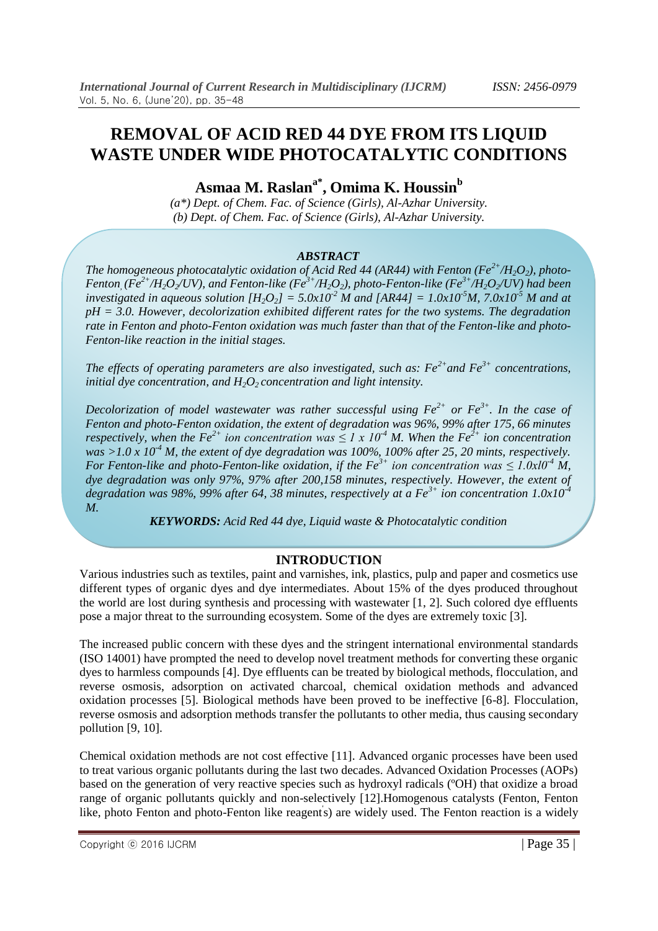# **REMOVAL OF ACID RED 44 DYE FROM ITS LIQUID WASTE UNDER WIDE PHOTOCATALYTIC CONDITIONS**

**Asmaa M. Raslana\*, Omima K. Houssin<sup>b</sup>**

*(a\*) Dept. of Chem. Fac. of Science (Girls), Al-Azhar University. (b) Dept. of Chem. Fac. of Science (Girls), Al-Azhar University.*

#### *ABSTRACT*

*The homogeneous photocatalytic oxidation of Acid Red 44 (AR44) with Fenton (Fe<sup>* $2+$ *</sup>/H<sub>2</sub>O<sub>2</sub>), photo-*Fenton ( $Fe^{2+}/H_2O_2$ /UV), and Fenton-like ( $Fe^{3+}/H_2O_2$ ), photo-Fenton-like ( $Fe^{3+}/H_2O_2$ /UV) had been *investigated in aqueous solution*  $[H_2O_2] = 5.0x10^{-2}$  *M* and  $[AR44] = 1.0x10^{-5}$ *M, 7.0x10<sup>-5</sup> M and at pH = 3.0. However, decolorization exhibited different rates for the two systems. The degradation*  rate in Fenton and photo-Fenton oxidation was much faster than that of the Fenton-like and photo-*Fenton-like reaction in the initial stages.*

*The effects of operating parameters are also investigated, such as: Fe2+and Fe3+ concentrations, initial dye concentration, and H2O2 concentration and light intensity.*

*Decolorization of model wastewater was rather successful using*  $Fe^{2+}$  *or*  $Fe^{3+}$ *. In the case of Fenton and photo-Fenton oxidation, the extent of degradation was 96%, 99% after 175, 66 minutes respectively, when the Fe*<sup>2+</sup> *ion concentration was*  $\leq$  *l x 10<sup>-4</sup> M. When the Fe*<sup>2+</sup> *ion concentration was*  $>1.0$  *x*  $10<sup>4</sup>$  *M, the extent of dye degradation was 100%, 100% after 25, 20 mints, respectively. For Fenton-like and photo-Fenton-like oxidation, if the Fe<sup>3+</sup> ion concentration was*  $\leq 1.0x10^{-4}$  *M, dye degradation was only 97%, 97% after 200,158 minutes, respectively. However, the extent of degradation was 98%, 99% after 64, 38 minutes, respectively at a Fe3+ ion concentration 1.0x10-4 M.*

*KEYWORDS: Acid Red 44 dye, Liquid waste & Photocatalytic condition*

## **INTRODUCTION**

Various industries such as textiles, paint and varnishes, ink, plastics, pulp and paper and cosmetics use different types of organic dyes and dye intermediates. About 15% of the dyes produced throughout the world are lost during synthesis and processing with wastewater [1, 2]. Such colored dye effluents pose a major threat to the surrounding ecosystem. Some of the dyes are extremely toxic [3].

The increased public concern with these dyes and the stringent international environmental standards (ISO 14001) have prompted the need to develop novel treatment methods for converting these organic dyes to harmless compounds [4]. Dye effluents can be treated by biological methods, flocculation, and reverse osmosis, adsorption on activated charcoal, chemical oxidation methods and advanced oxidation processes [5]. Biological methods have been proved to be ineffective [6-8]. Flocculation, reverse osmosis and adsorption methods transfer the pollutants to other media, thus causing secondary pollution [9, 10].

Chemical oxidation methods are not cost effective [11]. Advanced organic processes have been used to treat various organic pollutants during the last two decades. Advanced Oxidation Processes (AOPs) based on the generation of very reactive species such as hydroxyl radicals (ºOH) that oxidize a broad range of organic pollutants quickly and non-selectively [12].Homogenous catalysts (Fenton, Fenton like, photo Fenton and photo-Fenton like reagents) are widely used. The Fenton reaction is a widely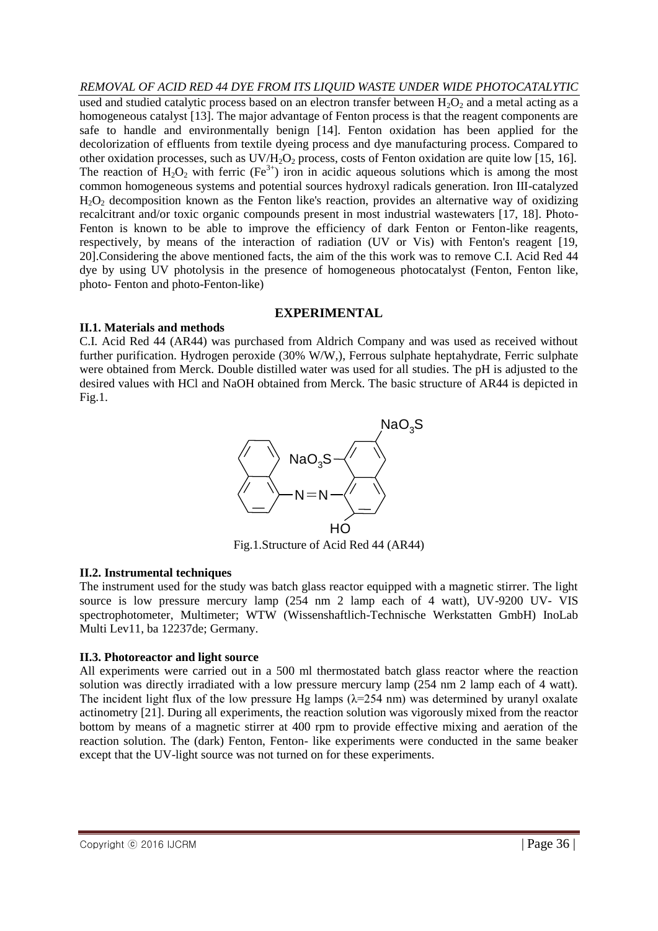*REMOVAL OF ACID RED 44 DYE FROM ITS LIQUID WASTE UNDER WIDE PHOTOCATALYTIC* used and studied catalytic process based on an electron transfer between  $H_2O_2$  and a metal acting as a homogeneous catalyst [13]. The major advantage of Fenton process is that the reagent components are safe to handle and environmentally benign [14]. Fenton oxidation has been applied for the decolorization of effluents from textile dyeing process and dye manufacturing process. Compared to other oxidation processes, such as  $UV/H<sub>2</sub>O<sub>2</sub>$  process, costs of Fenton oxidation are quite low [15, 16]. The reaction of  $H_2O_2$  with ferric (Fe<sup>3+</sup>) iron in acidic aqueous solutions which is among the most common homogeneous systems and potential sources hydroxyl radicals generation. Iron III-catalyzed  $H_2O_2$  decomposition known as the Fenton like's reaction, provides an alternative way of oxidizing recalcitrant and/or toxic organic compounds present in most industrial wastewaters [17, 18]. Photo-Fenton is known to be able to improve the efficiency of dark Fenton or Fenton-like reagents, respectively, by means of the interaction of radiation (UV or Vis) with Fenton's reagent [19, 20].Considering the above mentioned facts, the aim of the this work was to remove C.I. Acid Red 44 dye by using UV photolysis in the presence of homogeneous photocatalyst (Fenton, Fenton like, photo- Fenton and photo-Fenton-like)

#### **EXPERIMENTAL**

## **II.1. Materials and methods**

C.I. Acid Red 44 (AR44) was purchased from Aldrich Company and was used as received without further purification. Hydrogen peroxide (30% W/W,), Ferrous sulphate heptahydrate, Ferric sulphate were obtained from Merck. Double distilled water was used for all studies. The pH is adjusted to the desired values with HCl and NaOH obtained from Merck. The basic structure of AR44 is depicted in Fig.1.



Fig.1.Structure of Acid Red 44 (AR44)

## **II.2. Instrumental techniques**

The instrument used for the study was batch glass reactor equipped with a magnetic stirrer. The light source is low pressure mercury lamp (254 nm 2 lamp each of 4 watt), UV-9200 UV- VIS spectrophotometer, Multimeter; WTW (Wissenshaftlich-Technische Werkstatten GmbH) InoLab Multi Lev11, ba 12237de; Germany.

## **II.3. Photoreactor and light source**

All experiments were carried out in a 500 ml thermostated batch glass reactor where the reaction solution was directly irradiated with a low pressure mercury lamp (254 nm 2 lamp each of 4 watt). The incident light flux of the low pressure Hg lamps  $(\lambda=254 \text{ nm})$  was determined by uranyl oxalate actinometry [21]. During all experiments, the reaction solution was vigorously mixed from the reactor bottom by means of a magnetic stirrer at 400 rpm to provide effective mixing and aeration of the reaction solution. The (dark) Fenton, Fenton- like experiments were conducted in the same beaker except that the UV-light source was not turned on for these experiments.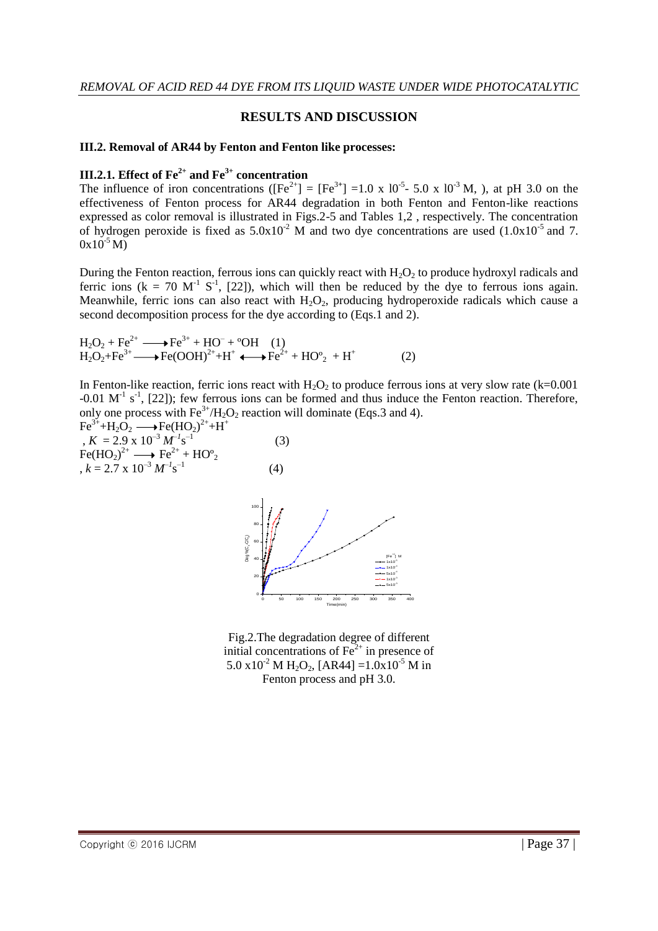## **RESULTS AND DISCUSSION**

#### **III.2. Removal of AR44 by Fenton and Fenton like processes:**

## **III.2.1. Effect of Fe2+ and Fe3+ concentration**

The influence of iron concentrations ( $[Fe^{2+}] = [Fe^{3+}] = 1.0 \times 10^{-5}$ - 5.0 x 10<sup>-3</sup> M, ), at pH 3.0 on the effectiveness of Fenton process for AR44 degradation in both Fenton and Fenton-like reactions expressed as color removal is illustrated in Figs.2-5 and Tables 1,2 , respectively. The concentration of hydrogen peroxide is fixed as  $5.0x10^{-2}$  M and two dye concentrations are used  $(1.0x10^{-5}$  and 7.  $0x10^{-5}$  M)

During the Fenton reaction, ferrous ions can quickly react with  $H_2O_2$  to produce hydroxyl radicals and ferric ions ( $k = 70$  M<sup>-1</sup> S<sup>-1</sup>, [22]), which will then be reduced by the dye to ferrous ions again. Meanwhile, ferric ions can also react with  $H_2O_2$ , producing hydroperoxide radicals which cause a second decomposition process for the dye according to (Eqs.1 and 2).

 $H_2O_2 + Fe^{2+} \longrightarrow Fe^{3+} + HO^- + {}^{\circ}OH$  (1)  $H_2O_2 + Fe^{3+} \longrightarrow Fe(OOH)^{2+} + H^+ \longrightarrow Fe^{2+} + HO^o_2 + H^+$ (2)

In Fenton-like reaction, ferric ions react with  $H_2O_2$  to produce ferrous ions at very slow rate (k=0.001  $-0.01$  M<sup>-1</sup> s<sup>-1</sup>, [22]); few ferrous ions can be formed and thus induce the Fenton reaction. Therefore, only one process with  $Fe^{3+}/H_2O_2$  reaction will dominate (Eqs. 3 and 4).





Fig.2.The degradation degree of different initial concentrations of  $Fe<sup>2+</sup>$  in presence of 5.0 x10<sup>-2</sup> M H<sub>2</sub>O<sub>2</sub>, [AR44] =1.0x10<sup>-5</sup> M in Fenton process and pH 3.0.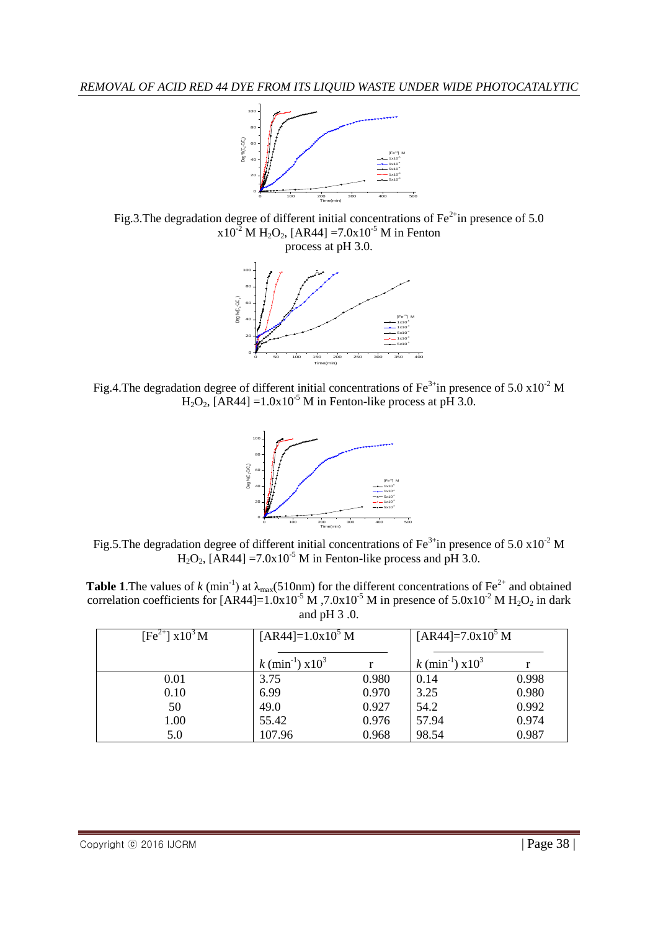

Fig.3.The degradation degree of different initial concentrations of  $Fe^{2+}$ in presence of 5.0  $x10^{-2}$  M H<sub>2</sub>O<sub>2</sub>, [AR44] = 7.0x10<sup>-5</sup> M in Fenton process at pH 3.0.



Fig.4. The degradation degree of different initial concentrations of Fe<sup>3+</sup>in presence of 5.0 x10<sup>-2</sup> M  $H_2O_2$ , [AR44] =1.0x10<sup>-5</sup> M in Fenton-like process at pH 3.0.



Fig.5. The degradation degree of different initial concentrations of Fe<sup>3+</sup>in presence of 5.0 x10<sup>-2</sup> M  $H<sub>2</sub>O<sub>2</sub>$ , [AR44] = 7.0x10<sup>-5</sup> M in Fenton-like process and pH 3.0.

**Table 1.** The values of *k* (min<sup>-1</sup>) at  $\lambda_{\text{max}}$ (510nm) for the different concentrations of Fe<sup>2+</sup> and obtained correlation coefficients for [AR44]=1.0x10<sup>-5</sup> M,  $7.0x10^{-5}$  M in presence of  $5.0x10^{-2}$  M H<sub>2</sub>O<sub>2</sub> in dark and pH 3 .0.

| $[Fe^{2+}]$ x10 <sup>3</sup> M | $[AR44]=1.0x10^5 M$            |       | $[AR44]=7.0x10^5 M$                   |       |  |
|--------------------------------|--------------------------------|-------|---------------------------------------|-------|--|
|                                | k (min <sup>-1</sup> ) $x10^3$ |       | $k \text{ (min}^{-1}) \text{ x} 10^3$ |       |  |
| 0.01                           | 3.75                           | 0.980 | 0.14                                  | 0.998 |  |
| 0.10                           | 6.99                           | 0.970 | 3.25                                  | 0.980 |  |
| 50                             | 49.0                           | 0.927 | 54.2                                  | 0.992 |  |
| 1.00                           | 55.42                          | 0.976 | 57.94                                 | 0.974 |  |
| 5.0                            | 107.96                         | 0.968 | 98.54                                 | 0.987 |  |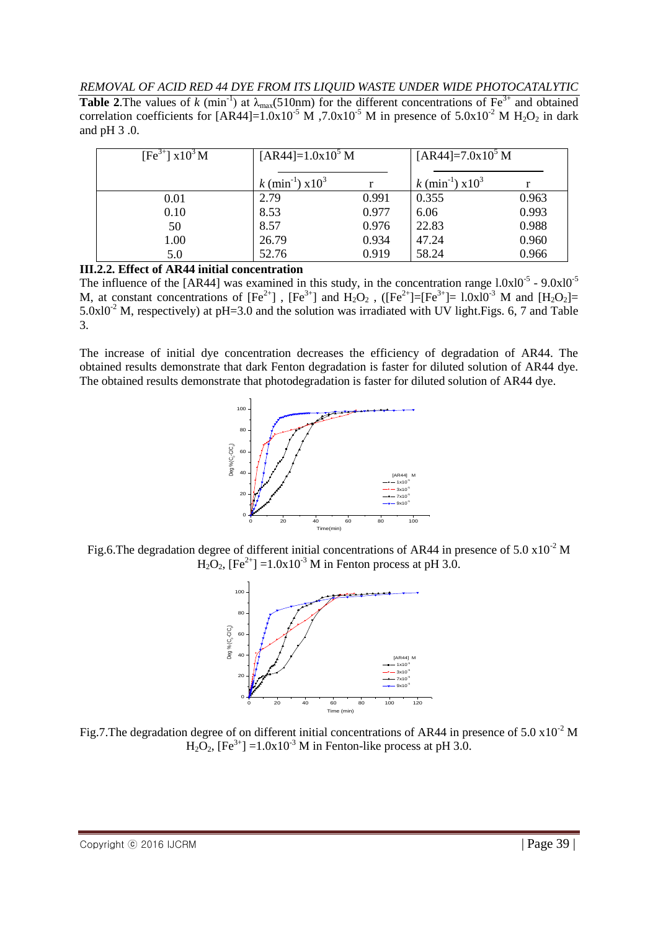*REMOVAL OF ACID RED 44 DYE FROM ITS LIQUID WASTE UNDER WIDE PHOTOCATALYTIC*

**Table 2.** The values of *k* (min<sup>-1</sup>) at  $\lambda_{\text{max}}$ (510nm) for the different concentrations of Fe<sup>3+</sup> and obtained correlation coefficients for [AR44]=1.0x10<sup>-5</sup> M, 7.0x10<sup>-5</sup> M in presence of 5.0x10<sup>-2</sup> M H<sub>2</sub>O<sub>2</sub> in dark and pH 3 .0.

| $[Fe^{3+}]$ x10 <sup>3</sup> M | $[AR44]=1.0x105 M$                    |       | [AR44]= $7.0x105$ M                |       |
|--------------------------------|---------------------------------------|-------|------------------------------------|-------|
|                                | $k \text{ (min}^{-1}) \text{ x} 10^3$ |       | $k \text{ (min}^{-1}) \times 10^3$ |       |
| 0.01                           | 2.79                                  | 0.991 | 0.355                              | 0.963 |
| 0.10                           | 8.53                                  | 0.977 | 6.06                               | 0.993 |
| 50                             | 8.57                                  | 0.976 | 22.83                              | 0.988 |
| 1.00                           | 26.79                                 | 0.934 | 47.24                              | 0.960 |
| 5.0                            | 52.76                                 | 0.919 | 58.24                              | 0.966 |

**III.2.2. Effect of AR44 initial concentration**

The influence of the [AR44] was examined in this study, in the concentration range  $1.0x10^{-5}$  -  $9.0x10^{-5}$ M, at constant concentrations of  $[Fe^{2+}]$ ,  $[Fe^{3+}]$  and  $H_2O_2$ ,  $([Fe^{2+}]=[Fe^{3+}]$ =  $1.0\times10^{-3}$  M and  $[H_2O_2]$ =  $5.0x10^{-2}$  M, respectively) at pH=3.0 and the solution was irradiated with UV light.Figs. 6, 7 and Table 3.

The increase of initial dye concentration decreases the efficiency of degradation of AR44. The obtained results demonstrate that dark Fenton degradation is faster for diluted solution of AR44 dye. The obtained results demonstrate that photodegradation is faster for diluted solution of AR44 dye.



Fig.6. The degradation degree of different initial concentrations of AR44 in presence of  $5.0 \times 10^{-2}$  M  $H_2O_2$ ,  $[Fe^{2+}] = 1.0x10^{-3}$  M in Fenton process at pH 3.0.



Fig.7. The degradation degree of on different initial concentrations of AR44 in presence of  $5.0 \times 10^{-2}$  M  $H_2O_2$ ,  $[Fe^{3+}] = 1.0x10^{-3}$  M in Fenton-like process at pH 3.0.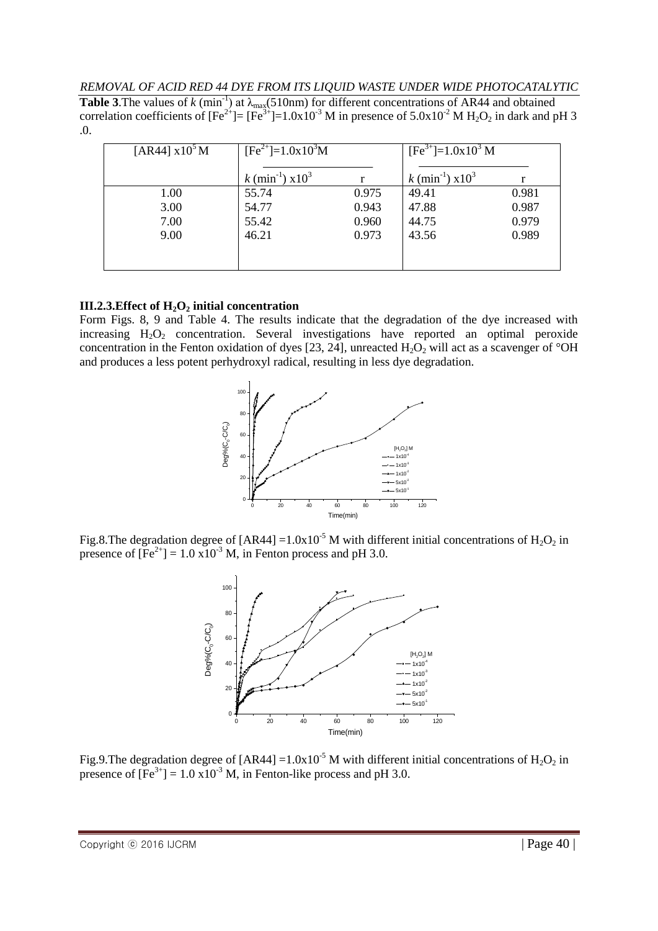**Table 3.** The values of  $k$  (min<sup>-1</sup>) at  $\lambda_{\text{max}}$ (510nm) for different concentrations of AR44 and obtained correlation coefficients of  $[Fe^{2+}]=[Fe^{3+}]=1.0x10^{-3}$  M in presence of  $5.0x10^{-2}$  M H<sub>2</sub>O<sub>2</sub> in dark and pH 3 .0.

| [AR44] $x10^5$ M | $[Fe2+]=1.0x103M$                  |       | $[Fe3+] = 1.0x103 M$               |       |
|------------------|------------------------------------|-------|------------------------------------|-------|
|                  | $k \text{ (min}^{-1}) \times 10^3$ |       | $k \text{ (min}^{-1}) \times 10^3$ |       |
| 1.00             | 55.74                              | 0.975 | 49.41                              | 0.981 |
| 3.00             | 54.77                              | 0.943 | 47.88                              | 0.987 |
| 7.00             | 55.42                              | 0.960 | 44.75                              | 0.979 |
| 9.00             | 46.21                              | 0.973 | 43.56                              | 0.989 |
|                  |                                    |       |                                    |       |
|                  |                                    |       |                                    |       |

## **III.2.3.Effect of H2O<sup>2</sup> initial concentration**

Form Figs. 8, 9 and Table 4. The results indicate that the degradation of the dye increased with increasing  $H_2O_2$  concentration. Several investigations have reported an optimal peroxide concentration in the Fenton oxidation of dyes [23, 24], unreacted  $H_2O_2$  will act as a scavenger of °OH and produces a less potent perhydroxyl radical, resulting in less dye degradation.



Fig.8. The degradation degree of  $[AR44] = 1.0x10^{-5}$  M with different initial concentrations of  $H_2O_2$  in presence of  $[Fe^{2+}] = 1.0 \times 10^{-3}$  M, in Fenton process and pH 3.0.



Fig.9. The degradation degree of  $[AR44] = 1.0x10^{-5}$  M with different initial concentrations of  $H_2O_2$  in presence of  $[Fe^{3+}] = 1.0 \times 10^{-3}$  M, in Fenton-like process and pH 3.0.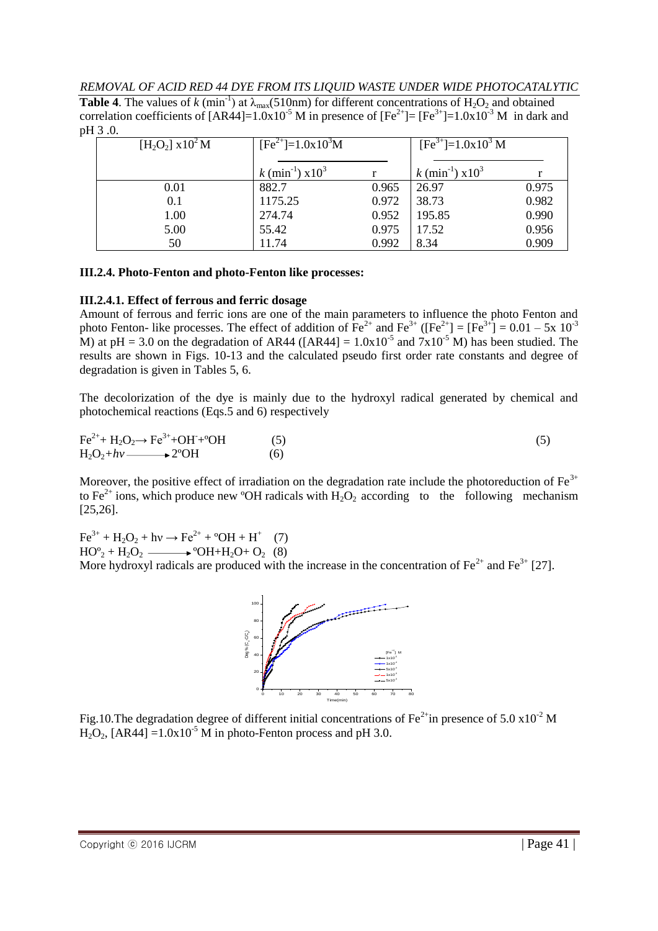*REMOVAL OF ACID RED 44 DYE FROM ITS LIQUID WASTE UNDER WIDE PHOTOCATALYTIC*

**Table 4.** The values of *k* (min<sup>-1</sup>) at  $\lambda_{\text{max}}(510 \text{nm})$  for different concentrations of H<sub>2</sub>O<sub>2</sub> and obtained correlation coefficients of  $[AR44] = 1.0x10^{-5}$  M in presence of  $[Fe^{2+}] = [Fe^{3+}] = 1.0x10^{-3}$  M in dark and pH 3 .0.

| $[H_2O_2]$ x 10 <sup>2</sup> M | $[Fe2+] = 1.0x103M$                |       | $[Fe3+] = 1.0x103 M$               |       |
|--------------------------------|------------------------------------|-------|------------------------------------|-------|
|                                |                                    |       |                                    |       |
|                                | $k \text{ (min}^{-1}) \times 10^3$ |       | $k \text{ (min}^{-1}) \times 10^3$ |       |
| 0.01                           | 882.7                              | 0.965 | 26.97                              | 0.975 |
| 0.1                            | 1175.25                            | 0.972 | 38.73                              | 0.982 |
| 1.00                           | 274.74                             | 0.952 | 195.85                             | 0.990 |
| 5.00                           | 55.42                              | 0.975 | 17.52                              | 0.956 |
| 50                             | 11.74                              | 0.992 | 8.34                               | 0.909 |

#### **III.2.4. Photo-Fenton and photo-Fenton like processes:**

#### **III.2.4.1. Effect of ferrous and ferric dosage**

Amount of ferrous and ferric ions are one of the main parameters to influence the photo Fenton and photo Fenton- like processes. The effect of addition of  $\text{Fe}^{2+}$  and  $\text{Fe}^{3+}$  ([Fe<sup>2+</sup>] = [Fe<sup>3+</sup>] = 0.01 – 5x 10<sup>-3</sup> M) at pH = 3.0 on the degradation of AR44 ([AR44] =  $1.0x10^{-5}$  and  $7x10^{-5}$  M) has been studied. The results are shown in Figs. 10-13 and the calculated pseudo first order rate constants and degree of degradation is given in Tables 5, 6.

The decolorization of the dye is mainly due to the hydroxyl radical generated by chemical and photochemical reactions (Eqs.5 and 6) respectively

 $Fe^{2+} + H_2O_2 \rightarrow Fe^{3+} + OH^+ + ^{\circ}OH$  $+^{9}$ OH (5) (5)  $H_2O_2 + hv \longrightarrow 2^{\circ}OH$  (6)

Moreover, the positive effect of irradiation on the degradation rate include the photoreduction of  $Fe<sup>3+</sup>$ to Fe<sup>2+</sup> ions, which produce new <sup>o</sup>OH radicals with  $H_2O_2$  according to the following mechanism [25,26].

 $Fe^{3+} + H_2O_2 + hv \rightarrow Fe^{2+} + {}^{\circ}OH + H^+$  (7)  $HO^{\circ}$ <sub>2</sub> + H<sub>2</sub>O<sub>2</sub>  $\longrightarrow$  <sup>o</sup>OH+H<sub>2</sub>O<sub>+</sub> O<sub>2</sub> (8) More hydroxyl radicals are produced with the increase in the concentration of  $\text{Fe}^{2+}$  and  $\text{Fe}^{3+}$  [27].



Fig.10. The degradation degree of different initial concentrations of Fe<sup>2+</sup>in presence of 5.0 x10<sup>-2</sup> M  $H_2O_2$ ,  $[AR44] = 1.0x10^{-5}$  M in photo-Fenton process and pH 3.0.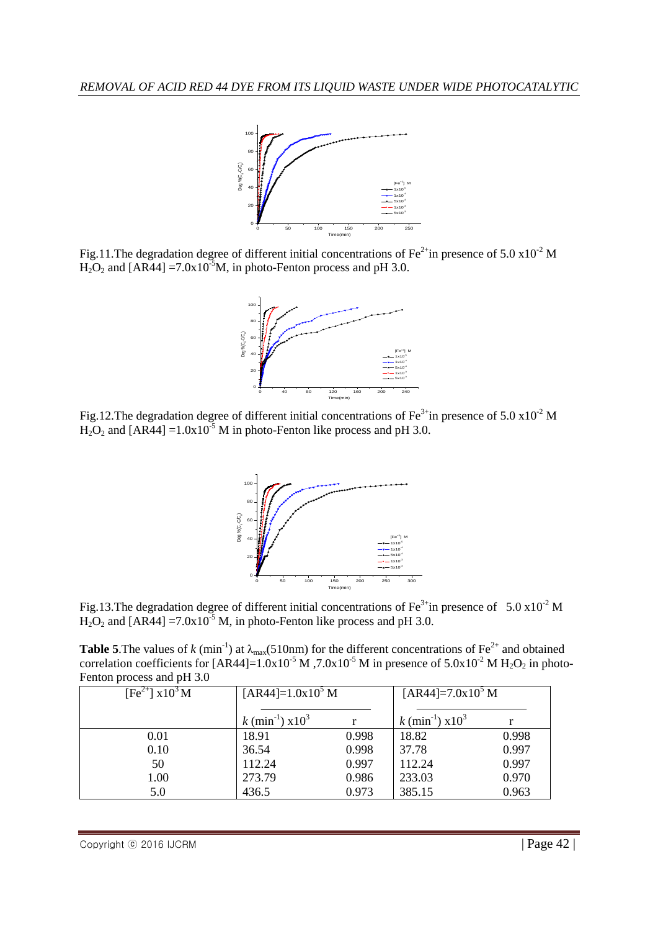

Fig.11. The degradation degree of different initial concentrations of Fe<sup>2+</sup>in presence of 5.0 x10<sup>-2</sup> M  $H_2O_2$  and  $[AR44] = 7.0x10^{-5}M$ , in photo-Fenton process and pH 3.0.



Fig.12.The degradation degree of different initial concentrations of Fe<sup>3+</sup>in presence of 5.0 x10<sup>-2</sup> M  $H_2O_2$  and [AR44] =1.0x10<sup>-5</sup> M in photo-Fenton like process and pH 3.0.



Fig.13. The degradation degree of different initial concentrations of Fe<sup>3+</sup>in presence of 5.0 x10<sup>-2</sup> M  $H_2O_2$  and [AR44] = 7.0x10<sup>-5</sup> M, in photo-Fenton like process and pH 3.0.

**Table 5.** The values of *k* (min<sup>-1</sup>) at  $\lambda_{\text{max}}$ (510nm) for the different concentrations of Fe<sup>2+</sup> and obtained correlation coefficients for [AR44]= $1.0x10^{-5}$  M,  $7.0x10^{-5}$  M in presence of  $5.0x10^{-2}$  M H<sub>2</sub>O<sub>2</sub> in photo-Fenton process and pH 3.0

| $[Fe^{2+}]$ x10 <sup>3</sup> M | $[AR44]=1.0x10^5 M$            |       | $[AR44]=7.0x10^5 M$                |       |
|--------------------------------|--------------------------------|-------|------------------------------------|-------|
|                                | k (min <sup>-1</sup> ) $x10^3$ |       | $k \text{ (min}^{-1}) \times 10^3$ |       |
| 0.01                           | 18.91                          | 0.998 | 18.82                              | 0.998 |
| 0.10                           | 36.54                          | 0.998 | 37.78                              | 0.997 |
| 50                             | 112.24                         | 0.997 | 112.24                             | 0.997 |
| 1.00                           | 273.79                         | 0.986 | 233.03                             | 0.970 |
| 5.0                            | 436.5                          | 0.973 | 385.15                             | 0.963 |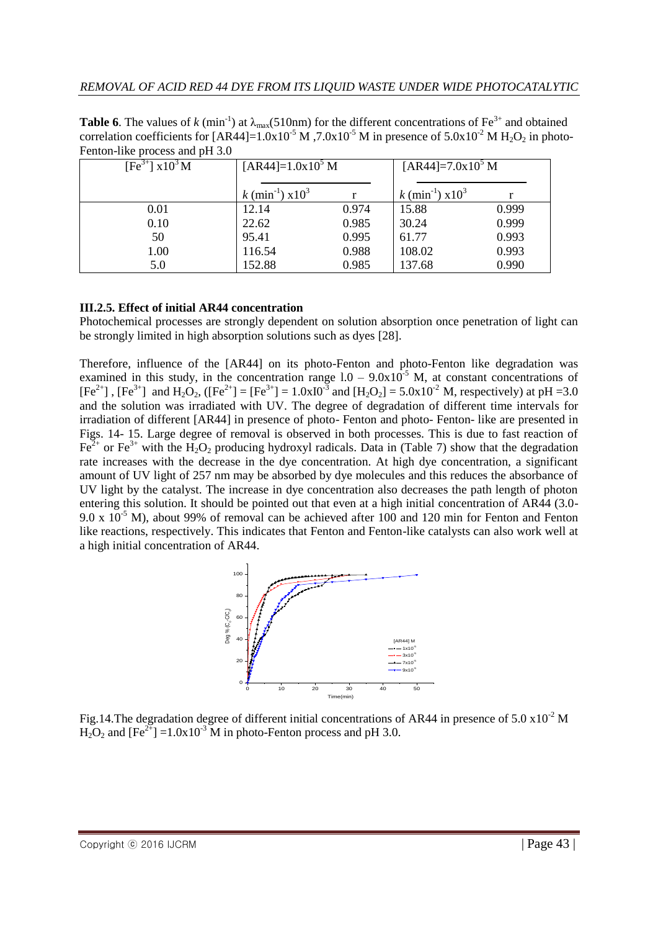**Table 6**. The values of *k* (min<sup>-1</sup>) at  $\lambda_{max}(510nm)$  for the different concentrations of Fe<sup>3+</sup> and obtained correlation coefficients for [AR44]= $1.0x10^{-5}$  M,  $7.0x10^{-5}$  M in presence of  $5.0x10^{-2}$  M H<sub>2</sub>O<sub>2</sub> in photo-Fenton-like process and pH 3.0

| [Fe <sup>3+</sup> ] $x10^3$ M | $[AR44]=1.0x10^5 M$            |       | $[AR44]=7.0x10^5 M$            |       |
|-------------------------------|--------------------------------|-------|--------------------------------|-------|
|                               | k (min <sup>-1</sup> ) $x10^3$ |       | k (min <sup>-1</sup> ) $x10^3$ |       |
| 0.01                          | 12.14                          | 0.974 | 15.88                          | 0.999 |
| 0.10                          | 22.62                          | 0.985 | 30.24                          | 0.999 |
| 50                            | 95.41                          | 0.995 | 61.77                          | 0.993 |
| 1.00                          | 116.54                         | 0.988 | 108.02                         | 0.993 |
| 5.0                           | 152.88                         | 0.985 | 137.68                         | 0.990 |

#### **III.2.5. Effect of initial AR44 concentration**

Photochemical processes are strongly dependent on solution absorption once penetration of light can be strongly limited in high absorption solutions such as dyes [28].

Therefore, influence of the [AR44] on its photo-Fenton and photo-Fenton like degradation was examined in this study, in the concentration range  $1.0 - 9.0x10^{-5}$  M, at constant concentrations of  $[Fe^{2+}]$ ,  $[Fe^{3+}]$  and  $H_2O_2$ ,  $([Fe^{2+}] = [Fe^{3+}] = 1.0 \times 10^{-3}$  and  $[H_2O_2] = 5.0 \times 10^{-2}$  M, respectively) at pH =3.0 and the solution was irradiated with UV. The degree of degradation of different time intervals for irradiation of different [AR44] in presence of photo- Fenton and photo- Fenton- like are presented in Figs. 14- 15. Large degree of removal is observed in both processes. This is due to fast reaction of  $Fe<sup>2+</sup>$  or  $Fe<sup>3+</sup>$  with the H<sub>2</sub>O<sub>2</sub> producing hydroxyl radicals. Data in (Table 7) show that the degradation rate increases with the decrease in the dye concentration. At high dye concentration, a significant amount of UV light of 257 nm may be absorbed by dye molecules and this reduces the absorbance of UV light by the catalyst. The increase in dye concentration also decreases the path length of photon entering this solution. It should be pointed out that even at a high initial concentration of AR44 (3.0- 9.0 x  $10^{-5}$  M), about 99% of removal can be achieved after 100 and 120 min for Fenton and Fenton like reactions, respectively. This indicates that Fenton and Fenton-like catalysts can also work well at a high initial concentration of AR44.



Fig.14. The degradation degree of different initial concentrations of AR44 in presence of  $5.0 \times 10^{-2}$  M  $H_2O_2$  and  $[Fe^{2+}]=1.0x10^{-3}$  M in photo-Fenton process and pH 3.0.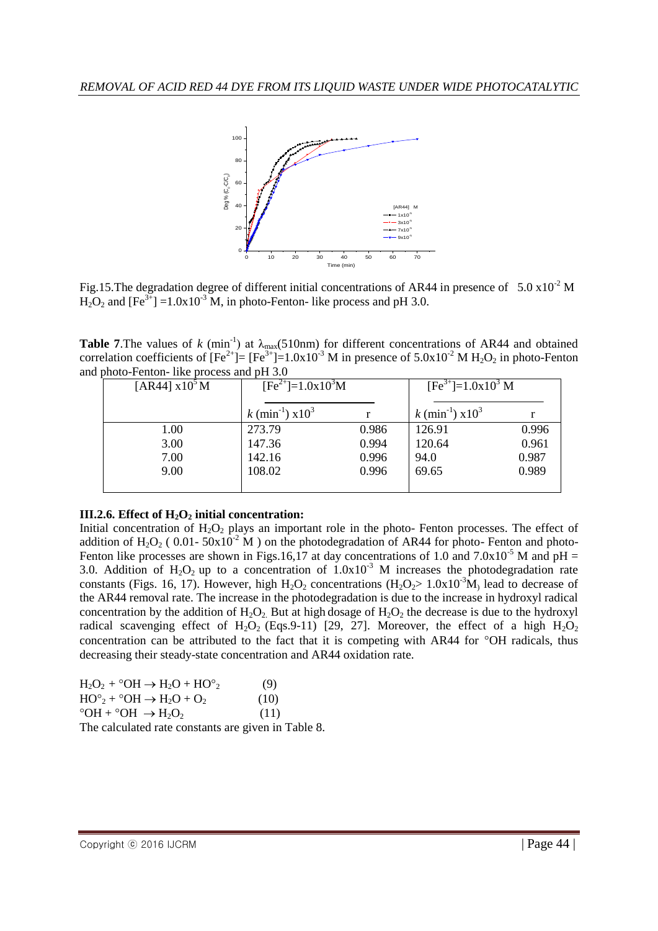

Fig.15. The degradation degree of different initial concentrations of AR44 in presence of 5.0  $\times$ 10<sup>-2</sup> M  $H_2O_2$  and  $[Fe^{3+}] = 1.0x10^{-3}$  M, in photo-Fenton- like process and pH 3.0.

**Table 7.** The values of *k* (min<sup>-1</sup>) at  $\lambda_{\text{max}}(510 \text{nm})$  for different concentrations of AR44 and obtained correlation coefficients of  $[Fe^{2+}]=[Fe^{3+}]=1.0x10^{-3}$  M in presence of  $5.0x10^{-2}$  M H<sub>2</sub>O<sub>2</sub> in photo-Fenton and photo-Fenton- like process and pH 3.0

| [AR44] $x105$ M |                                            | $[Fe2+]=1.0x103M$ |                                               | $[Fe3+] = 1.0x103 M$ |  |
|-----------------|--------------------------------------------|-------------------|-----------------------------------------------|----------------------|--|
|                 | $k \text{ (min}^{-1} \text{)} \times 10^3$ |                   | $k \text{ (min}^{-1} \text{)} \text{ } x10^3$ |                      |  |
| 1.00            | 273.79                                     | 0.986             | 126.91                                        | 0.996                |  |
| 3.00            | 147.36                                     | 0.994             | 120.64                                        | 0.961                |  |
| 7.00            | 142.16                                     | 0.996             | 94.0                                          | 0.987                |  |
| 9.00            | 108.02                                     | 0.996             | 69.65                                         | 0.989                |  |
|                 |                                            |                   |                                               |                      |  |

## **III.2.6. Effect of H2O<sup>2</sup> initial concentration:**

Initial concentration of  $H_2O_2$  plays an important role in the photo- Fenton processes. The effect of addition of H<sub>2</sub>O<sub>2</sub> ( 0.01-  $50x10^{-2}$  M ) on the photodegradation of AR44 for photo- Fenton and photo-Fenton like processes are shown in Figs.16,17 at day concentrations of 1.0 and  $7.0x10^{-5}$  M and  $pH =$ 3.0. Addition of H<sub>2</sub>O<sub>2</sub> up to a concentration of  $1.0x10^{-3}$  M increases the photodegradation rate constants (Figs. 16, 17). However, high  $H_2O_2$  concentrations ( $H_2O_2 > 1.0 \times 10^{-3} M$ ) lead to decrease of the AR44 removal rate. The increase in the photodegradation is due to the increase in hydroxyl radical concentration by the addition of  $H_2O_2$ . But at high dosage of  $H_2O_2$  the decrease is due to the hydroxyl radical scavenging effect of  $H_2O_2$  (Eqs.9-11) [29, 27]. Moreover, the effect of a high  $H_2O_2$ concentration can be attributed to the fact that it is competing with AR44 for  $\degree$ OH radicals, thus decreasing their steady-state concentration and AR44 oxidation rate.

| $H_2O_2$ + °OH $\rightarrow$ H <sub>2</sub> O + HO° <sub>2</sub>        | (9)  |
|-------------------------------------------------------------------------|------|
| $HO^{\circ}$ <sub>2</sub> + $^{\circ}OH \rightarrow H_2O + O_2$         | (10) |
| $\degree$ OH + $\degree$ OH $\rightarrow$ H <sub>2</sub> O <sub>2</sub> | (11) |
| The calculated rate constants are given in Table 8.                     |      |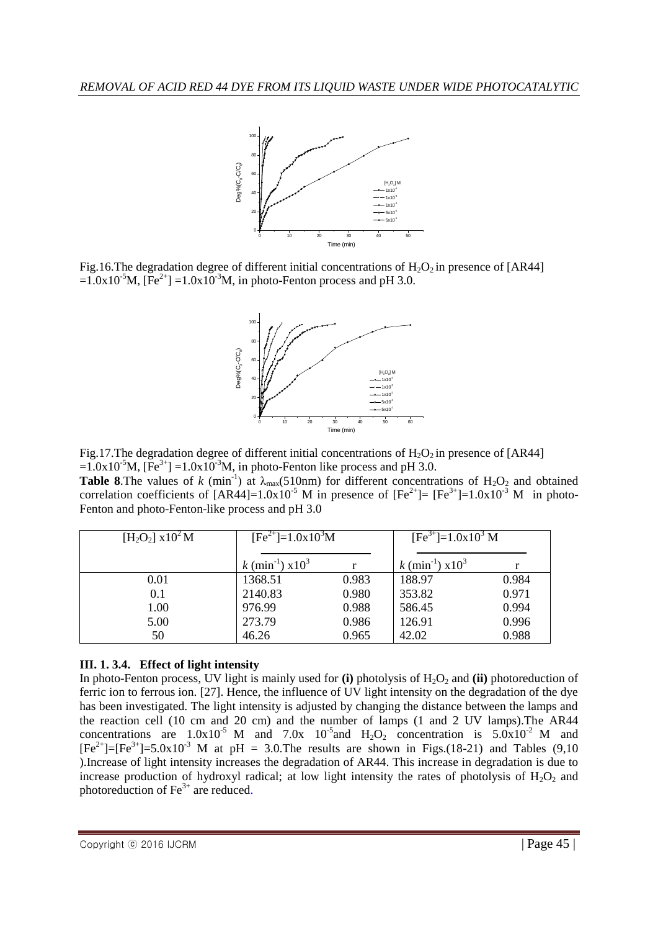

Fig.16. The degradation degree of different initial concentrations of  $H_2O_2$  in presence of [AR44]  $=1.0x10^{-5}$ M,  $[Fe^{2+}] = 1.0x10^{-3}$ M, in photo-Fenton process and pH 3.0.



Fig.17. The degradation degree of different initial concentrations of  $H_2O_2$  in presence of [AR44]  $=1.0x10^{-5}M$ ,  $[Fe^{3+}] =1.0x10^{-3}M$ , in photo-Fenton like process and pH 3.0.

**Table 8.** The values of *k* (min<sup>-1</sup>) at  $\lambda_{\text{max}}$ (510nm) for different concentrations of H<sub>2</sub>O<sub>2</sub> and obtained correlation coefficients of  $[AR44] = 1.0x10^{-5}$  M in presence of  $[Fe^{2+}] = [Fe^{3+}] = 1.0x10^{-3}$  M in photo-Fenton and photo-Fenton-like process and pH 3.0

| $[H_2O_2]$ x 10 <sup>2</sup> M | $[Fe^{2+}] = 1.0x10^{3}M$          |       | $[Fe3+] = 1.0x103 M$               |       |
|--------------------------------|------------------------------------|-------|------------------------------------|-------|
|                                |                                    |       |                                    |       |
|                                | $k \text{ (min}^{-1}) \times 10^3$ |       | $k \text{ (min}^{-1}) \times 10^3$ |       |
| 0.01                           | 1368.51                            | 0.983 | 188.97                             | 0.984 |
| 0.1                            | 2140.83                            | 0.980 | 353.82                             | 0.971 |
| 1.00                           | 976.99                             | 0.988 | 586.45                             | 0.994 |
| 5.00                           | 273.79                             | 0.986 | 126.91                             | 0.996 |
| 50                             | 46.26                              | 0.965 | 42.02                              | 0.988 |

## **III. 1. 3.4. Effect of light intensity**

In photo-Fenton process, UV light is mainly used for **(i)** photolysis of  $H_2O_2$  and **(ii)** photoreduction of ferric ion to ferrous ion. [27]. Hence, the influence of UV light intensity on the degradation of the dye has been investigated. The light intensity is adjusted by changing the distance between the lamps and the reaction cell (10 cm and 20 cm) and the number of lamps (1 and 2 UV lamps).The AR44 concentrations are  $1.0x10^{-5}$  M and  $7.0x$   $10^{-5}$  and  $H_2O_2$  concentration is  $5.0x10^{-2}$  M and  $[Fe^{2+}]=[Fe^{3+}]=5.0x10^{-3}$  M at pH = 3.0. The results are shown in Figs.(18-21) and Tables (9,10) ).Increase of light intensity increases the degradation of AR44. This increase in degradation is due to increase production of hydroxyl radical; at low light intensity the rates of photolysis of  $H_2O_2$  and photoreduction of  $Fe<sup>3+</sup>$  are reduced.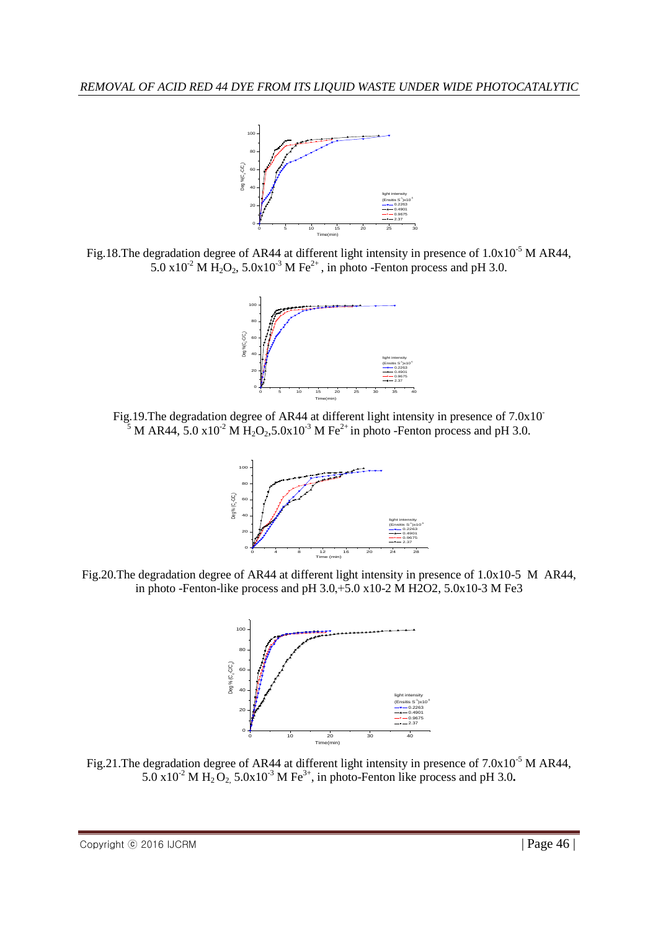

Fig.18.The degradation degree of AR44 at different light intensity in presence of  $1.0x10^{-5}$  M AR44, 5.0 x10<sup>-2</sup> M H<sub>2</sub>O<sub>2</sub>, 5.0x10<sup>-3</sup> M Fe<sup>2+</sup>, in photo -Fenton process and pH 3.0.



Fig.19. The degradation degree of AR44 at different light intensity in presence of 7.0x10<sup>-</sup> <sup>5</sup> M AR44, 5.0 x10<sup>-2</sup> M H<sub>2</sub>O<sub>2</sub>, 5.0x10<sup>-3</sup> M Fe<sup>2+</sup> in photo -Fenton process and pH 3.0.



Fig.20.The degradation degree of AR44 at different light intensity in presence of 1.0x10-5 M AR44, in photo -Fenton-like process and pH  $3.0, +5.0$  x10-2 M H2O2,  $5.0x10-3$  M Fe3



Fig.21. The degradation degree of AR44 at different light intensity in presence of  $7.0x10^{-5}$  M AR44, 5.0 x10<sup>-2</sup> M H<sub>2</sub> O<sub>2</sub>, 5.0x10<sup>-3</sup> M Fe<sup>3+</sup>, in photo-Fenton like process and pH 3.0.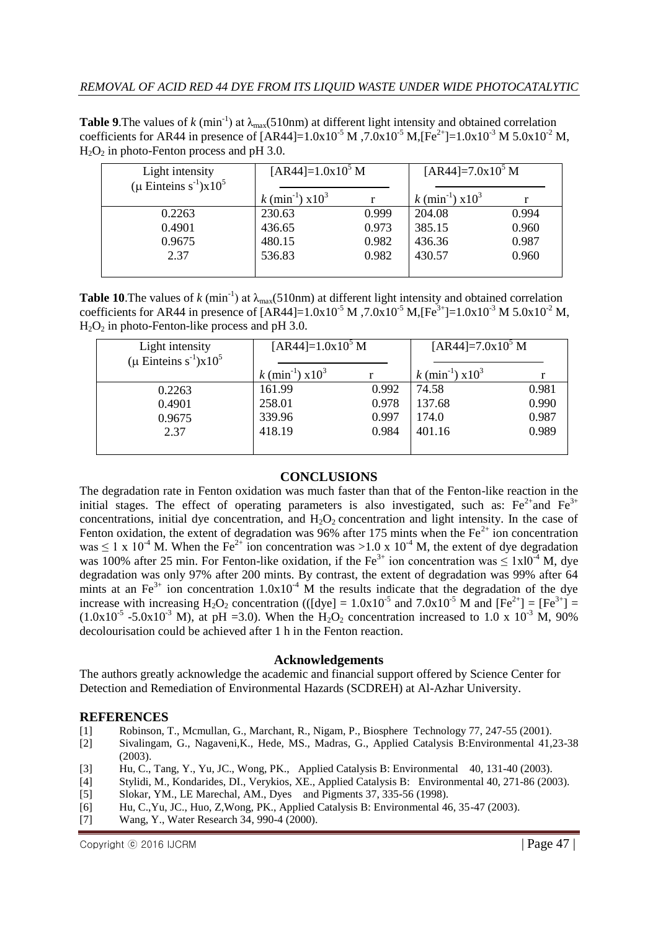**Table** 9. The values of  $k$  (min<sup>-1</sup>) at  $\lambda_{\text{max}}(510 \text{nm})$  at different light intensity and obtained correlation coefficients for AR44 in presence of  $[AR44] = 1.0x10^{-5} M$ ,  $7.0x10^{-5} M$ ,  $[Fe^{2+}] = 1.0x10^{-3} M$  5.0x10<sup>-2</sup> M,  $H<sub>2</sub>O<sub>2</sub>$  in photo-Fenton process and pH 3.0.

| Light intensity<br>$(\mu$ Einteins s <sup>-1</sup> )x10 <sup>5</sup> | $[AR44]=1.0x10^5 M$                        |       | $[AR44]=7.0x10^5 M$                        |       |
|----------------------------------------------------------------------|--------------------------------------------|-------|--------------------------------------------|-------|
|                                                                      | $k \text{ (min}^{-1} \text{)} \times 10^3$ |       | $k \text{ (min}^{-1} \text{)} \times 10^3$ |       |
| 0.2263                                                               | 230.63                                     | 0.999 | 204.08                                     | 0.994 |
| 0.4901                                                               | 436.65                                     | 0.973 | 385.15                                     | 0.960 |
| 0.9675                                                               | 480.15                                     | 0.982 | 436.36                                     | 0.987 |
| 2.37                                                                 | 536.83                                     | 0.982 | 430.57                                     | 0.960 |
|                                                                      |                                            |       |                                            |       |

**Table 10.** The values of  $k$  (min<sup>-1</sup>) at  $\lambda_{\text{max}}(510 \text{nm})$  at different light intensity and obtained correlation coefficients for AR44 in presence of  $[AR44] = 1.0x10^{-5} M$ ,  $7.0x10^{-5} M$ ,  $[Fe^{3+}] = 1.0x10^{-3} M$  5.0x10<sup>-2</sup> M,  $H_2O_2$  in photo-Fenton-like process and pH 3.0.

| Light intensity                                   | $[AR44]=1.0x10^5 M$                   |       | $[AR44]=7.0x10^5 M$            |       |
|---------------------------------------------------|---------------------------------------|-------|--------------------------------|-------|
| $(\mu$ Einteins s <sup>-1</sup> )x10 <sup>5</sup> |                                       |       |                                |       |
|                                                   | $k \text{ (min}^{-1}) \text{ x} 10^3$ |       | k (min <sup>-1</sup> ) $x10^3$ |       |
| 0.2263                                            | 161.99                                | 0.992 | 74.58                          | 0.981 |
| 0.4901                                            | 258.01                                | 0.978 | 137.68                         | 0.990 |
| 0.9675                                            | 339.96                                | 0.997 | 174.0                          | 0.987 |
| 2.37                                              | 418.19                                | 0.984 | 401.16                         | 0.989 |
|                                                   |                                       |       |                                |       |

## **CONCLUSIONS**

The degradation rate in Fenton oxidation was much faster than that of the Fenton-like reaction in the initial stages. The effect of operating parameters is also investigated, such as:  $Fe^{2+}$ and  $Fe^{3+}$ concentrations, initial dye concentration, and  $H_2O_2$  concentration and light intensity. In the case of Fenton oxidation, the extent of degradation was 96% after 175 mints when the  $Fe<sup>2+</sup>$  ion concentration was  $\leq 1 \times 10^{-4}$  M. When the Fe<sup>2+</sup> ion concentration was  $>1.0 \times 10^{-4}$  M, the extent of dye degradation was 100% after 25 min. For Fenton-like oxidation, if the Fe<sup>3+</sup> ion concentration was  $\leq 1 \times 10^{-4}$  M, dye degradation was only 97% after 200 mints. By contrast, the extent of degradation was 99% after 64 mints at an Fe<sup>3+</sup> ion concentration  $1.0x10^{-4}$  M the results indicate that the degradation of the dye increase with increasing  $H_2O_2$  concentration (([dye] =  $1.0x10^{-5}$  and  $7.0x10^{-5}$  M and  $[Fe^{2+}] = [Fe^{3+}] =$  $(1.0x10^{-5} - 5.0x10^{-3} )$  M), at pH = 3.0. When the H<sub>2</sub>O<sub>2</sub> concentration increased to 1.0 x 10<sup>-3</sup> M, 90% decolourisation could be achieved after 1 h in the Fenton reaction.

## **Acknowledgements**

The authors greatly acknowledge the academic and financial support offered by Science Center for Detection and Remediation of Environmental Hazards (SCDREH) at Al-Azhar University.

## **REFERENCES**

- [1] Robinson, T., Mcmullan, G., Marchant, R., Nigam, P., Biosphere Technology 77, 247-55 (2001).
- [2] Sivalingam, G., Nagaveni,K., Hede, MS., Madras, G., Applied Catalysis B:Environmental 41,23-38 (2003).
- [3] Hu, C., Tang, Y., Yu, JC., Wong, PK., Applied Catalysis B: Environmental 40, 131-40 (2003).
- [4] Stylidi, M., Kondarides, DI., Verykios, XE., Applied Catalysis B: Environmental 40, 271-86 (2003).
- [5] Slokar, YM., LE Marechal, AM., Dyes and Pigments 37, 335-56 (1998).
- [6] Hu, C.,Yu, JC., Huo, Z,Wong, PK., Applied Catalysis B: Environmental 46, 35-47 (2003).
- [7] Wang, Y., Water Research 34, 990-4 (2000).